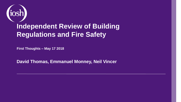

#### **Independent Review of Building Regulations and Fire Safety**

**First Thoughts – May 17 2018**

**David Thomas, Emmanuel Monney, Neil Vincer**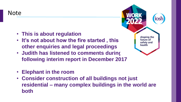Note

- **This is about regulation**
- It's not about how the fire started, this **is a shaping the other enquiries and legal proceedings**
- **Judith has listened to comments during following interim report in December 2017**
- **Elephant in the room**
- **Consider construction of all buildings not just residential – many complex buildings in the world are both**

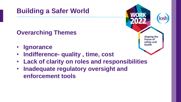#### **Overarching Themes**

- **Ignorance**
- **Indifference- quality , time, cost**
- **Lack of clarity on roles and responsibilities**
- **Inadequate regulatory oversight and enforcement tools**

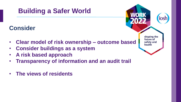#### **Consider**

- **Clear model of risk ownership – outcome based**
- **Consider buildings as a system**
- **A risk based approach**
- **Transparency of information and an audit trail**
- **The views of residents**

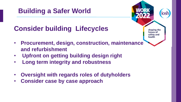## **Consider building Lifecycles**

- shaping the future of safety and health
- **Procurement, design, construction, maintenance and refurbishment**
- **Upfront on getting building design right**
- **Long term integrity and robustness**
- **Oversight with regards roles of dutyholders**
- **Consider case by case approach**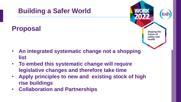# **Building a Safer World Proposal**



shaping the future of safety and health

- **To embed this systematic change will require legislative changes and therefore take time**
- **Apply principles to new and existing stock of high rise buildings**
- **Collaboration and Partnerships**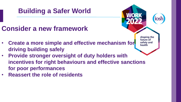## **Consider a new framework**

- Create a more simple and effective mechanism for **driving building safely**
- **Provide stronger oversight of duty holders with incentives for right behaviours and effective sanctions for poor performances**

shaping the future of safety and health

• **Reassert the role of residents**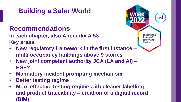# **Recommendations**

**In each chapter, also Appendix A 53 Key areas**

• **New regulatory framework in the first instance – multi occupancy buildings above 9 stories** 

shaping the future of safety and health

- **New joint competent authority JCA (LA and AI) – HSE?**
- **Mandatory incident prompting mechanism**
- **Better testing regime**
- **More effective testing regime with cleaner labelling and product traceability – creation of a digital record (BIM)**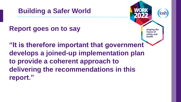

**Report goes on to say**



**"It is therefore important that government develops a joined-up implementation plan to provide a coherent approach to delivering the recommendations in this report."**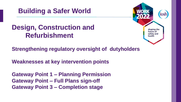

#### **Design, Construction and Refurbishment**



**Strengthening regulatory oversight of dutyholders**

**Weaknesses at key intervention points** 

**Gateway Point 1 – Planning Permission Gateway Point – Full Plans sign-off Gateway Point 3 – Completion stage**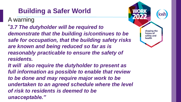A warning

- "*3.7 The dutyholder will be required to demonstrate that the building is/continues to be safe for occupation, that the building safety risks are known and being reduced so far as is reasonably practicable to ensure the safety of residents.*
- *It will also require the dutyholder to present as full information as possible to enable that review to be done and may require major work to be undertaken to an agreed schedule where the level of risk to residents is deemed to be unacceptable."*